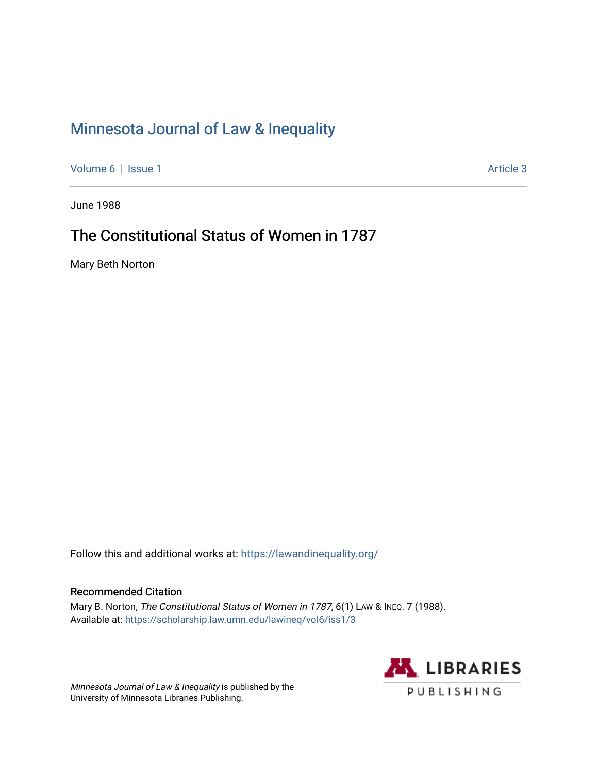# [Minnesota Journal of Law & Inequality](https://scholarship.law.umn.edu/lawineq)

[Volume 6](https://scholarship.law.umn.edu/lawineq/vol6) | [Issue 1](https://scholarship.law.umn.edu/lawineq/vol6/iss1) Article 3

June 1988

## The Constitutional Status of Women in 1787

Mary Beth Norton

Follow this and additional works at: <https://lawandinequality.org/>

#### Recommended Citation

Mary B. Norton, The Constitutional Status of Women in 1787, 6(1) LAW & INEQ. 7 (1988). Available at: [https://scholarship.law.umn.edu/lawineq/vol6/iss1/3](https://scholarship.law.umn.edu/lawineq/vol6/iss1/3?utm_source=scholarship.law.umn.edu%2Flawineq%2Fvol6%2Fiss1%2F3&utm_medium=PDF&utm_campaign=PDFCoverPages)

Minnesota Journal of Law & Inequality is published by the University of Minnesota Libraries Publishing.

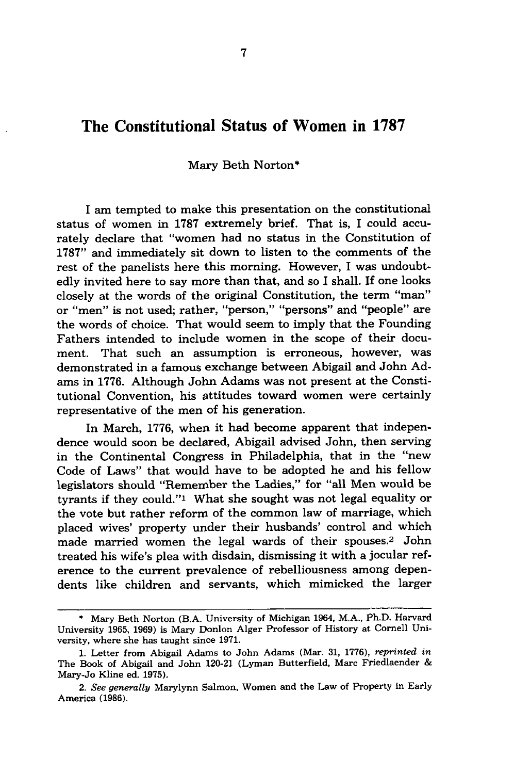### The Constitutional Status **of** Women in **1787**

#### Mary Beth Norton\*

I am tempted to make this presentation on the constitutional status of women in 1787 extremely brief. That is, I could accurately declare that "women had no status in the Constitution of 1787" and immediately sit down to listen to the comments of the rest of the panelists here this morning. However, I was undoubtedly invited here to say more than that, and so I shall. If one looks closely at the words of the original Constitution, the term "man" or "men" is not used; rather, "person," "persons" and "people" are the words of choice. That would seem to imply that the Founding Fathers intended to include women in the scope of their document. That such an assumption is erroneous, however, was demonstrated in a famous exchange between Abigail and John Adams in 1776. Although John Adams was not present at the Constitutional Convention, his attitudes toward women were certainly representative of the men of his generation.

In March, **1776,** when it had become apparent that independence would soon be declared, Abigail advised John, then serving in the Continental Congress in Philadelphia, that in the "new Code of Laws" that would have to be adopted he and his fellow legislators should "Remember the Ladies," for "all Men would be tyrants if they could."' What she sought was not legal equality or the vote but rather reform of the common law of marriage, which placed wives' property under their husbands' control and which made married women the legal wards of their spouses.2 John treated his wife's plea with disdain, dismissing it with a jocular reference to the current prevalence of rebelliousness among dependents like children and servants, which mimicked the larger

<sup>\*</sup> Mary Beth Norton (B.A. University of Michigan 1964, M.A., Ph.D. Harvard University **1965,** 1969) is Mary Donlon Alger Professor of History at Cornell University, where she has taught since 1971.

<sup>1.</sup> Letter from Abigail Adams to John Adams (Mar. 31, 1776), *reprinted in* The Book of Abigail and John 120-21 (Lyman Butterfield, Marc Friedlaender & Mary-Jo Kline ed. 1975).

*<sup>2.</sup> See generally* Marylynn Salmon, Women and the Law of Property in Early America (1986).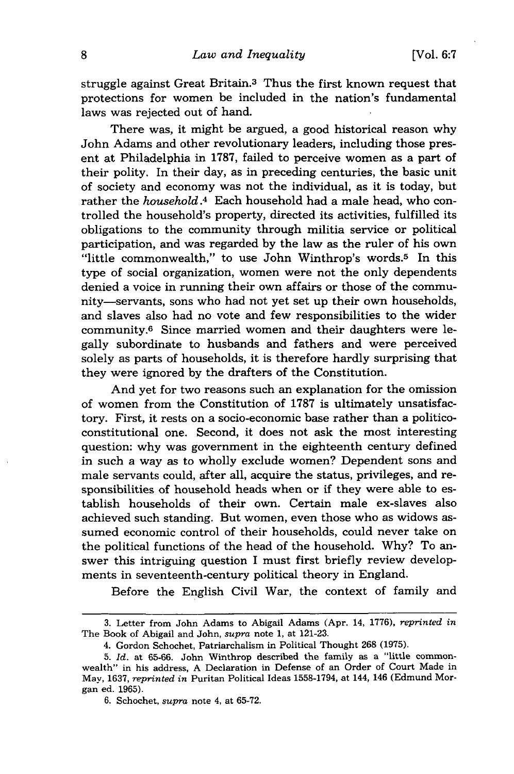struggle against Great Britain.3 Thus the first known request that protections for women be included in the nation's fundamental laws was rejected out of hand.

There was, it might be argued, a good historical reason why John Adams and other revolutionary leaders, including those present at Philadelphia in 1787, failed to perceive women as a part of their polity. In their day, as in preceding centuries, the basic unit of society and economy was not the individual, as it is today, but rather the *household.4* Each household had a male head, who controlled the household's property, directed its activities, fulfilled its obligations to the community through militia service or political participation, and was regarded by the law as the ruler of his own "little commonwealth," to use John Winthrop's words.<sup>5</sup> In this type of social organization, women were not the only dependents denied a voice in running their own affairs or those of the community-servants, sons who had not yet set up their own households, and slaves also had no vote and few responsibilities to the wider community.6 Since married women and their daughters were legally subordinate to husbands and fathers and were perceived solely as parts of households, it is therefore hardly surprising that they were ignored by the drafters of the Constitution.

And yet for two reasons such an explanation for the omission of women from the Constitution of 1787 is ultimately unsatisfactory. First, it rests on a socio-economic base rather than a politicoconstitutional one. Second, it does not ask the most interesting question: why was government in the eighteenth century defined in such a way as to wholly exclude women? Dependent sons and male servants could, after all, acquire the status, privileges, and responsibilities of household heads when or if they were able to establish households of their own. Certain male ex-slaves also achieved such standing. But women, even those who as widows assumed economic control of their households, could never take on the political functions of the head of the household. Why? To answer this intriguing question I must first briefly review developments in seventeenth-century political theory in England.

Before the English Civil War, the context of family and

<sup>3.</sup> Letter from John Adams to Abigail Adams (Apr. 14, 1776), *reprinted in* The Book of Abigail and John, *supra* note 1, at 121-23.

<sup>4.</sup> Gordon Schochet, Patriarchalism in Political Thought 268 (1975).

<sup>5.</sup> *Id.* at 65-66. John Winthrop described the family as a "little commonwealth" in his address, A Declaration in Defense of an Order of Court Made in May, 1637, *reprinted in* Puritan Political Ideas 1558-1794, at 144, 146 (Edmund Morgan ed. 1965).

<sup>6.</sup> Schochet, *supra* note 4, at 65-72.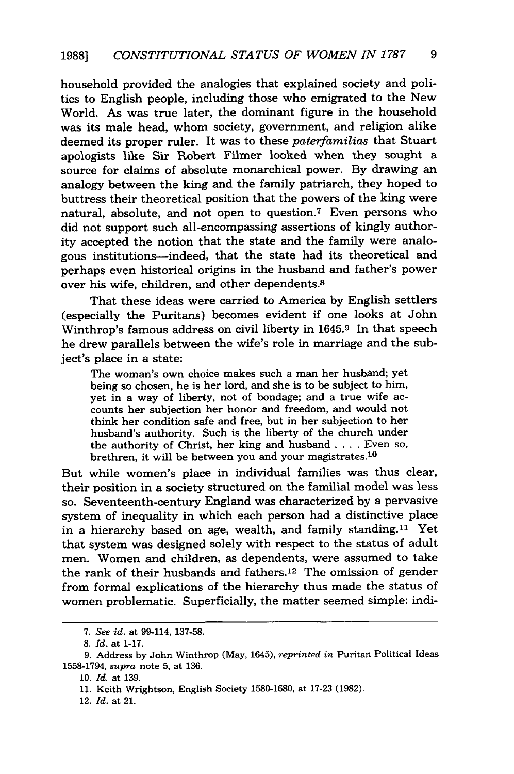household provided the analogies that explained society and politics to English people, including those who emigrated to the New World. As was true later, the dominant figure in the household was its male head, whom society, government, and religion alike deemed its proper ruler. It was to these *paterfamilias* that Stuart apologists like Sir Robert Filmer looked when they sought a source for claims of absolute monarchical power. By drawing an analogy between the king and the family patriarch, they hoped to buttress their theoretical position that the powers of the king were natural, absolute, and not open to question.7 Even persons who did not support such all-encompassing assertions of kingly authority accepted the notion that the state and the family were analogous institutions-indeed, that the state had its theoretical and perhaps even historical origins in the husband and father's power over his wife, children, and other dependents.8

That these ideas were carried to America by English settlers (especially the Puritans) becomes evident if one looks at John Winthrop's famous address on civil liberty in 1645.9 In that speech he drew parallels between the wife's role in marriage and the subject's place in a state:

The woman's own choice makes such a man her husband; yet being so chosen, he is her lord, and she is to be subject to him, yet in a way of liberty, not of bondage; and a true wife accounts her subjection her honor and freedom, and would not think her condition safe and free, but in her subjection to her husband's authority. Such is the liberty of the church under the authority of Christ, her king and husband .... Even so, brethren, it will be between you and your magistrates.<sup>10</sup>

But while women's place in individual families was thus clear, their position in a society structured on the familial model was less so. Seventeenth-century England was characterized by a pervasive system of inequality in which each person had a distinctive place in a hierarchy based on age, wealth, and family standing.<sup>11</sup> Yet that system was designed solely with respect to the status of adult men. Women and children, as dependents, were assumed to take the rank of their husbands and fathers.12 The omission of gender from formal explications of the hierarchy thus made the status of women problematic. Superficially, the matter seemed simple: indi-

*<sup>7.</sup> See id.* at 99-114, 137-58.

<sup>8.</sup> *Id.* at 1-17.

**<sup>9.</sup>** Address by John Winthrop (May, 1645), *reprinted in* Puritan Political Ideas 1558-1794, *supra* note 5, at 136.

<sup>10.</sup> *Id.* at 139.

**<sup>11.</sup>** Keith Wrightson, English Society 1580-1680, at 17-23 (1982).

<sup>12.</sup> *Id.* at 21.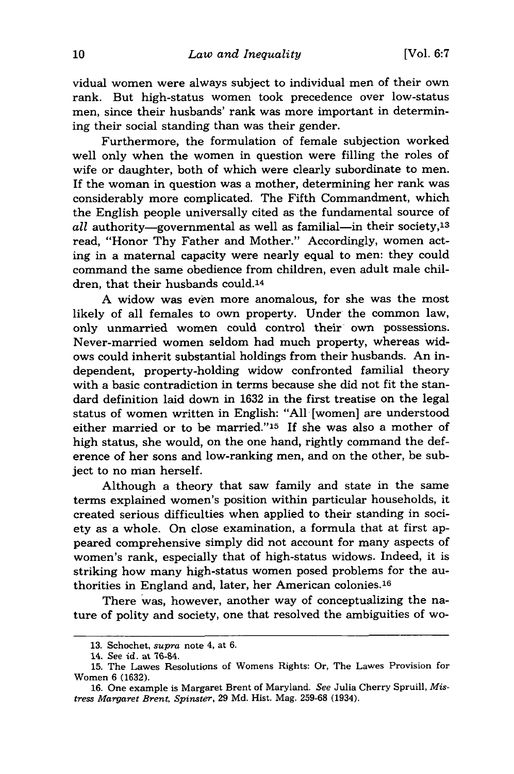vidual women were always subject to individual men of their own rank. But high-status women took precedence over low-status men, since their husbands' rank was more important in determining their social standing than was their gender.

Furthermore, the formulation of female subjection worked well only when the women in question were filling the roles of wife or daughter, both of which were clearly subordinate to men. If the woman in question was a mother, determining her rank was considerably more complicated. The Fifth Commandment, which the English people universally cited as the fundamental source of  $all$  authority-governmental as well as familial-in their society,<sup>13</sup> read, "Honor Thy Father and Mother." Accordingly, women acting in a maternal capacity were nearly equal to men: they could command the same obedience from children, even adult male children, that their husbands could.14

A widow was even more anomalous, for she was the most likely of all females to own property. Under the common law, only unmarried women could control their own possessions. Never-married women seldom had much property, whereas widows could inherit substantial holdings from their husbands. An independent, property-holding widow confronted familial theory with a basic contradiction in terms because she did not fit the standard definition laid down in 1632 in the first treatise on the legal status of women written in English: "All [women] are understood either married or to be married."15 If she was also a mother of high status, she would, on the one hand, rightly command the deference of her sons and low-ranking men, and on the other, be subject to no man herself.

Although a theory that saw family and state in the same terms explained women's position within particular households, it created serious difficulties when applied to their standing in society as a whole. On close examination, a formula that at first appeared comprehensive simply did not account for many aspects of women's rank, especially that of high-status widows. Indeed, it is striking how many high-status women posed problems for the authorities in England and, later, her American colonies. <sup>16</sup>

There was, however, another way of conceptualizing the nature of polity and society, one that resolved the ambiguities of wo-

<sup>13.</sup> Schochet, *supra* note 4, at 6.

<sup>14.</sup> See id. at 76-84.

<sup>15.</sup> The Lawes Resolutions of Womens Rights: Or, The Lawes Provision for Women 6 (1632).

<sup>16.</sup> One example is Margaret Brent of Maryland. See Julia Cherry Spruill, *Mistress Margaret Brent, Spinster,* 29 Md. Hist. Mag. 259-68 (1934).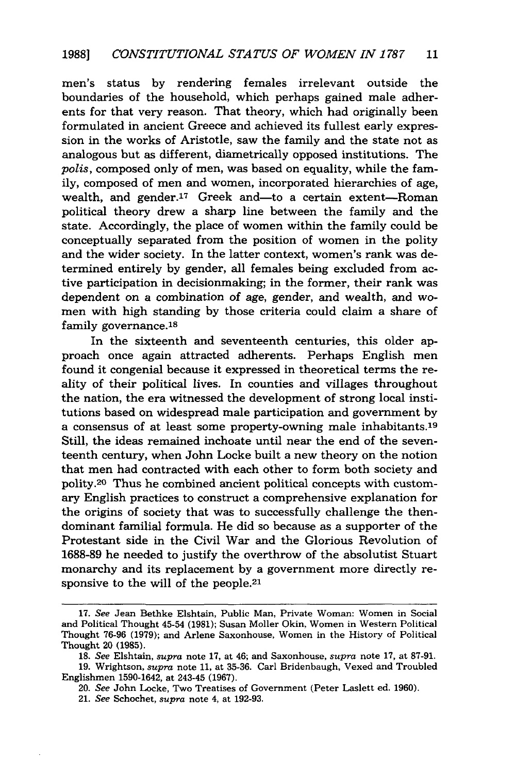men's status by rendering females irrelevant outside the boundaries of the household, which perhaps gained male adherents for that very reason. That theory, which had originally been formulated in ancient Greece and achieved its fullest early expression in the works of Aristotle, saw the family and the state not as analogous but as different, diametrically opposed institutions. The *polis,* composed only of men, was based on equality, while the family, composed of men and women, incorporated hierarchies of age, wealth, and gender.<sup>17</sup> Greek and—to a certain extent-Roman political theory drew a sharp line between the family and the state. Accordingly, the place of women within the family could be conceptually separated from the position of women in the polity and the wider society. In the latter context, women's rank was determined entirely by gender, all females being excluded from active participation in decisionmaking; in the former, their rank was dependent on a combination of age, gender, and wealth, and women with high standing by those criteria could claim a share of family governance.<sup>18</sup>

In the sixteenth and seventeenth centuries, this older approach once again attracted adherents. Perhaps English men found it congenial because it expressed in theoretical terms the reality of their political lives. In counties and villages throughout the nation, the era witnessed the development of strong local institutions based on widespread male participation and government by a consensus of at least some property-owning male inhabitants.19 Still, the ideas remained inchoate until near the end of the seventeenth century, when John Locke built a new theory on the notion that men had contracted with each other to form both society and polity.20 Thus he combined ancient political concepts with customary English practices to construct a comprehensive explanation for the origins of society that was to successfully challenge the thendominant familial formula. He did so because as a supporter of the Protestant side in the Civil War and the Glorious Revolution of 1688-89 he needed to justify the overthrow of the absolutist Stuart monarchy and its replacement by a government more directly responsive to the will of the people.<sup>21</sup>

<sup>17.</sup> *See* Jean Bethke Elshtain, Public Man, Private Woman: Women in Social and Political Thought 45-54 (1981); Susan Moller Okin. Women in Western Political Thought 76-96 (1979); and Arlene Saxonhouse, Women in the History of Political Thought 20 (1985).

<sup>18.</sup> *See* Elshtain, *supra* note 17, at 46; and Saxonhouse, *supra* note 17, at 87-91.

<sup>19.</sup> Wrightson, *supra* note 11, at 35-36. Carl Bridenbaugh, Vexed and Troubled Englishmen 1590-1642, at 243-45 (1967).

<sup>20.</sup> *See* John Locke, Two Treatises of Government (Peter Laslett ed. 1960).

<sup>21.</sup> *See* Schochet, *supra* note 4, at 192-93.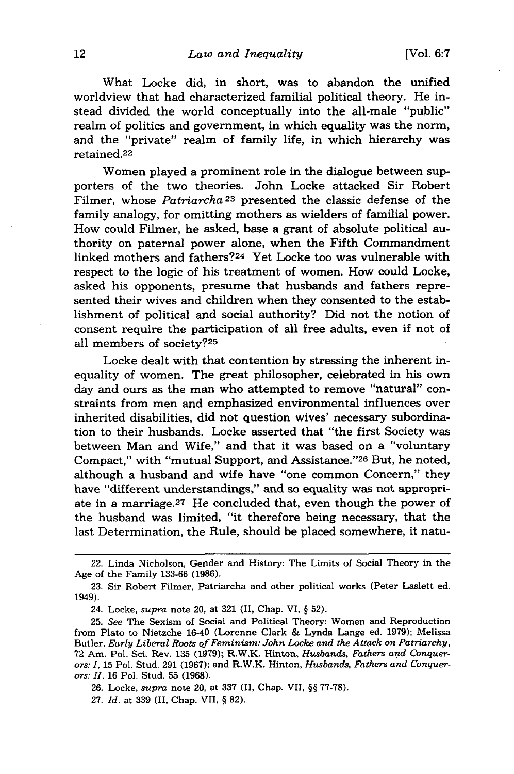What Locke did, in short, was to abandon the unified worldview that had characterized familial political theory. He instead divided the world conceptually into the all-male "public" realm of politics and government, in which equality was the norm, and the "private" realm of family life, in which hierarchy was retained.22

Women played a prominent role in the dialogue between supporters of the two theories. John Locke attacked Sir Robert Filmer, whose *Patriarcha*<sup>23</sup> presented the classic defense of the family analogy, for omitting mothers as wielders of familial power. How could Filmer, he asked, base a grant of absolute political authority on paternal power alone, when the Fifth Commandment linked mothers and fathers?24 Yet Locke too was vulnerable with respect to the logic of his treatment of women. How could Locke, asked his opponents, presume that husbands and fathers represented their wives and children when they consented to the establishment of political and social authority? Did not the notion of consent require the participation of all free adults, even if not of all members of society?25

Locke dealt with that contention by stressing the inherent inequality of women. The great philosopher, celebrated in his own day and ours as the man who attempted to remove "natural" constraints from men and emphasized environmental influences over inherited disabilities, did not question wives' necessary subordination to their husbands. Locke asserted that "the first Society was between Man and Wife," and that it was based on a "voluntary Compact," with "mutual Support, and Assistance."<sup>26</sup> But, he noted, although a husband and wife have "one common Concern," they have "different understandings," and so equality was not appropriate in a marriage. 27 He concluded that, even though the power of the husband was limited, "it therefore being necessary, that the last Determination, the Rule, should be placed somewhere, it natu-

26. Locke, *supra* note 20, at 337 (II, Chap. VII, §§ 77-78).

27. *Id.* at 339 (II, Chap. VII, § 82).

<sup>22.</sup> Linda Nicholson, Gender and History: The Limits of Social Theory in the Age of the Family 133-66 (1986).

<sup>23.</sup> Sir Robert Filmer, Patriarcha and other political works (Peter Laslett ed. 1949).

<sup>24.</sup> Locke, *supra* note 20, at 321 (II, Chap. VI, § 52).

<sup>25.</sup> *See* The Sexism of Social and Political Theory: Women and Reproduction from Plato to Nietzche 16-40 (Lorenne Clark & Lynda Lange ed. 1979); Melissa Butler, *Early Liberal Roots of Feminism: John Locke and the Attack on Patriarchy,* 72 Am. Pol. Sct. Rev. 135 (1979); R.W.K. Hinton, *Husbands, Fathers and Conquerors: 1,* 15 Pol. Stud. 291 (1967); and R.W.K. Hinton, *Husbands, Fathers and Conquerors: II,* 16 Pol. Stud. 55 (1968).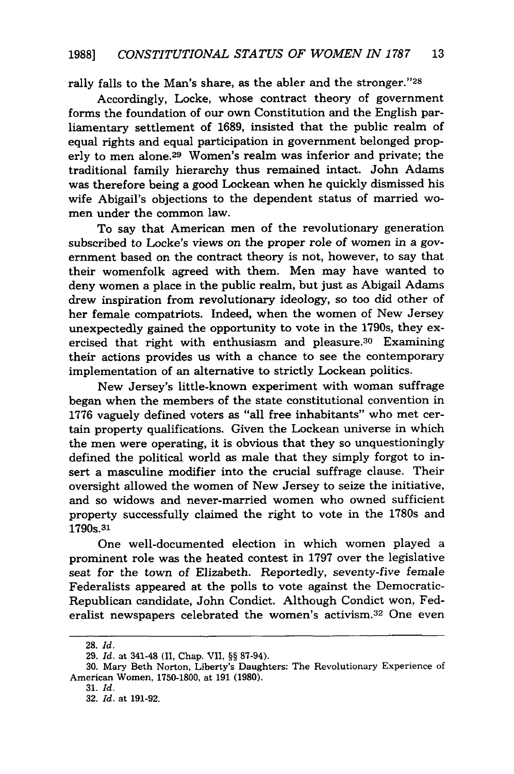rally falls to the Man's share, as the abler and the stronger."28

Accordingly, Locke, whose contract theory of government forms the foundation of our own Constitution and the English parliamentary settlement of 1689, insisted that the public realm of equal rights and equal participation in government belonged properly to men alone.29 Women's realm was inferior and private; the traditional family hierarchy thus remained intact. John Adams was therefore being a good Lockean when he quickly dismissed his wife Abigail's objections to the dependent status of married women under the common law.

To say that American men of the revolutionary generation subscribed to Locke's views on the proper role of women in a government based on the contract theory is not, however, to say that their womenfolk agreed with them. Men may have wanted to deny women a place in the public realm, but just as Abigail Adams drew inspiration from revolutionary ideology, so too did other of her female compatriots. Indeed, when the women of New Jersey unexpectedly gained the opportunity to vote in the 1790s, they exercised that right with enthusiasm and pleasure.30 Examining their actions provides us with a chance to see the contemporary implementation of an alternative to strictly Lockean politics.

New Jersey's little-known experiment with woman suffrage began when the members of the state constitutional convention in 1776 vaguely defined voters as "all free inhabitants" who met certain property qualifications. Given the Lockean universe in which the men were operating, it is obvious that they so unquestioningly defined the political world as male that they simply forgot to insert a masculine modifier into the crucial suffrage clause. Their oversight allowed the women of New Jersey to seize the initiative, and so widows and never-married women who owned sufficient property successfully claimed the right to vote in the 1780s and 1790s. 31

One well-documented election in which women played a prominent role was the heated contest in 1797 over the legislative seat for the town of Elizabeth. Reportedly, seventy-five female Federalists appeared at the polls to vote against the Democratic-Republican candidate, John Condict. Although Condict won, Federalist newspapers celebrated the women's activism.32 One even

<sup>28.</sup> *Id.*

**<sup>29.</sup>** *Id.* at 341-48 (II, Chap. VII, §§ 87-94).

<sup>30.</sup> Mary Beth Norton, Liberty's Daughters: The Revolutionary Experience of American Women, 1750-1800, at 191 (1980).

<sup>31.</sup> *Id.*

<sup>32.</sup> *Id.* at 191-92.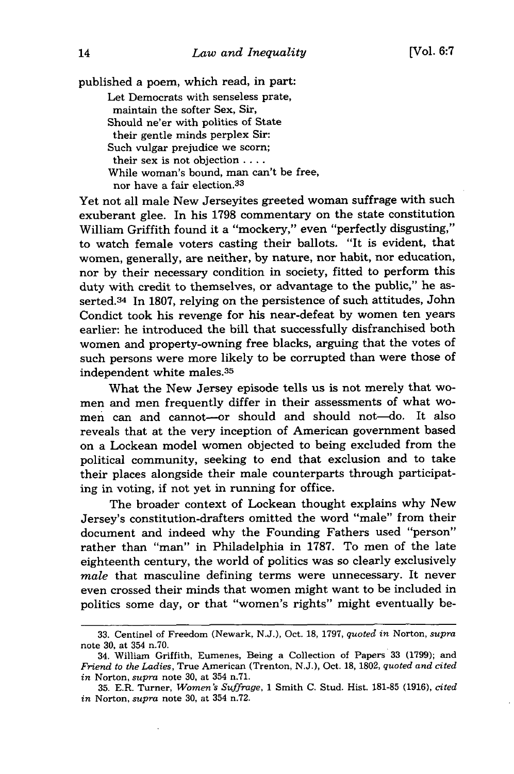published a poem, which read, in part: Let Democrats with senseless prate, maintain the softer Sex, Sir, Should ne'er with politics of State their gentle minds perplex Sir: Such vulgar prejudice we scorn; their sex is not objection **....** While woman's bound, man can't be free, nor have a fair election.<sup>33</sup>

Yet not all male New Jerseyites greeted woman suffrage with such exuberant glee. In his 1798 commentary on the state constitution William Griffith found it a "mockery," even "perfectly disgusting," to watch female voters casting their ballots. "It is evident, that women, generally, are neither, by nature, nor habit, nor education, nor by their necessary condition in society, fitted to perform this duty with credit to themselves, or advantage to the public," he asserted.34 In 1807, relying on the persistence of such attitudes, John Condict took his revenge for his near-defeat by women ten years earlier: he introduced the bill that successfully disfranchised both women and property-owning free blacks, arguing that the votes of such persons were more likely to be corrupted than were those of independent white males.<sup>35</sup>

What the New Jersey episode tells us is not merely that women and men frequently differ in their assessments of what women can and cannot-or should and should not-do. It also reveals that at the very inception of American government based on a Lockean model women objected to being excluded from the political community, seeking to end that exclusion and to take their places alongside their male counterparts through participating in voting, if not yet in running for office.

The broader context of Lockean thought explains why New Jersey's constitution-drafters omitted the word "male" from their document and indeed why the Founding Fathers used "person" rather than "man" in Philadelphia in 1787. To men of the late eighteenth century, the world of politics was so clearly exclusively *male* that masculine defining terms were unnecessary. It never even crossed their minds that women might want to be included in politics some day, or that "women's rights" might eventually be-

<sup>33.</sup> Centinel of Freedom (Newark, N.J.), Oct. 18, 1797, *quoted in* Norton, *supra* note 30, at 354 n.70.

<sup>34.</sup> William Griffith, Eumenes, Being a Collection of Papers 33 (1799); and *Friend to the Ladies,* True American (Trenton, N.J.), Oct. 18, 1802, *quoted and cited in* Norton, *supra* note 30, at 354 n.71.

<sup>35.</sup> E.R. Turner, *Women's Suffrage,* 1 Smith C. Stud. Hist. 181-85 (1916), *cited in* Norton, *supra* note 30, at 354 n.72.